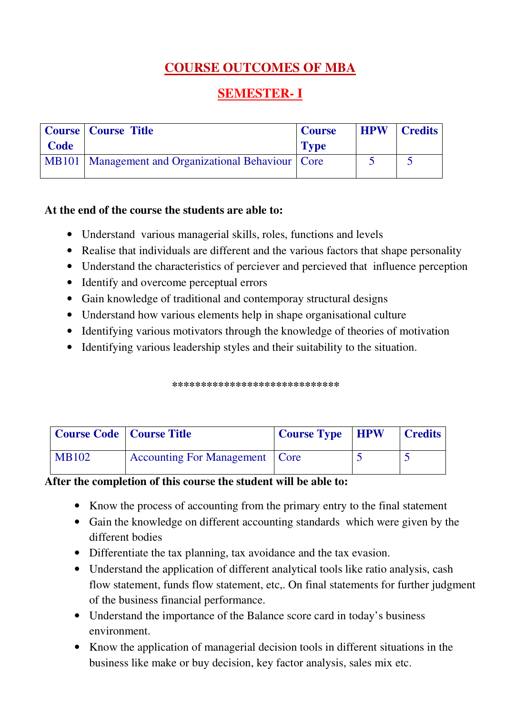# **COURSE OUTCOMES OF MBA**

# **SEMESTER- I**

|      | Course   Course Title                                  | <b>Course</b> | <b>HPW</b> | <b>Credits</b> |
|------|--------------------------------------------------------|---------------|------------|----------------|
| Code |                                                        | <b>Type</b>   |            |                |
|      | MB101   Management and Organizational Behaviour   Core |               |            |                |

### **At the end of the course the students are able to:**

- Understand various managerial skills, roles, functions and levels
- Realise that individuals are different and the various factors that shape personality
- Understand the characteristics of perciever and percieved that influence perception
- Identify and overcome perceptual errors
- Gain knowledge of traditional and contemporay structural designs
- Understand how various elements help in shape organisational culture
- Identifying various motivators through the knowledge of theories of motivation
- Identifying various leadership styles and their suitability to the situation.

\*\*\*\*\*\*\*\*\*\*\*\*\*\*\*\*\*\*\*\*\*\*\*\*\*\*

| <b>Course Code   Course Title</b> |                                       | <b>Course Type HPW</b> | <b>Credits</b> |
|-----------------------------------|---------------------------------------|------------------------|----------------|
| <b>MB102</b>                      | <b>Accounting For Management</b> Core |                        |                |

### **After the completion of this course the student will be able to:**

- Know the process of accounting from the primary entry to the final statement
- Gain the knowledge on different accounting standards which were given by the different bodies
- Differentiate the tax planning, tax avoidance and the tax evasion.
- Understand the application of different analytical tools like ratio analysis, cash flow statement, funds flow statement, etc,. On final statements for further judgment of the business financial performance.
- Understand the importance of the Balance score card in today's business environment.
- Know the application of managerial decision tools in different situations in the business like make or buy decision, key factor analysis, sales mix etc.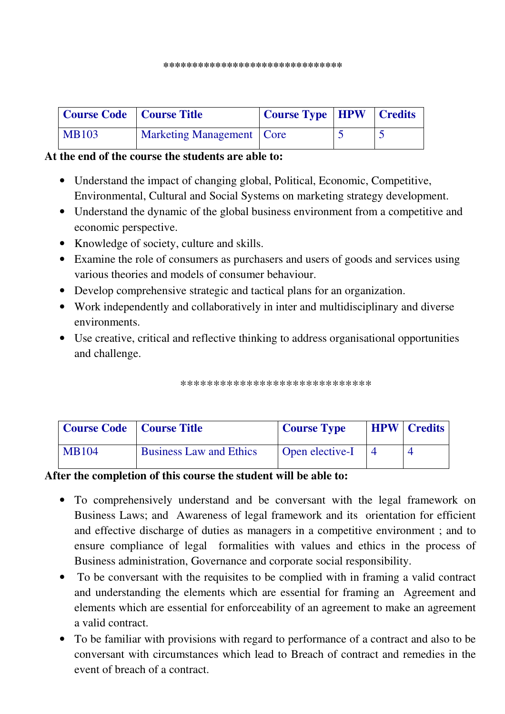| Course Code   Course Title |                             | Course Type   HPW   Credits |  |
|----------------------------|-----------------------------|-----------------------------|--|
| <b>MB103</b>               | Marketing Management   Core |                             |  |

### **At the end of the course the students are able to:**

- Understand the impact of changing global, Political, Economic, Competitive, Environmental, Cultural and Social Systems on marketing strategy development.
- Understand the dynamic of the global business environment from a competitive and economic perspective.
- Knowledge of society, culture and skills.
- Examine the role of consumers as purchasers and users of goods and services using various theories and models of consumer behaviour.
- Develop comprehensive strategic and tactical plans for an organization.
- Work independently and collaboratively in inter and multidisciplinary and diverse environments.
- Use creative, critical and reflective thinking to address organisational opportunities and challenge.

\*\*\*\*\*\*\*\*\*\*\*\*\*\*\*\*\*\*\*\*\*\*\*\*\*\*\*\*\*

| Course Code   Course Title |                                | <b>Course Type</b> | <b>HPW</b> Credits |
|----------------------------|--------------------------------|--------------------|--------------------|
| <b>MB104</b>               | <b>Business Law and Ethics</b> | Open elective-I    |                    |

### **After the completion of this course the student will be able to:**

- To comprehensively understand and be conversant with the legal framework on Business Laws; and Awareness of legal framework and its orientation for efficient and effective discharge of duties as managers in a competitive environment ; and to ensure compliance of legal formalities with values and ethics in the process of Business administration, Governance and corporate social responsibility.
- To be conversant with the requisites to be complied with in framing a valid contract and understanding the elements which are essential for framing an Agreement and elements which are essential for enforceability of an agreement to make an agreement a valid contract.
- To be familiar with provisions with regard to performance of a contract and also to be conversant with circumstances which lead to Breach of contract and remedies in the event of breach of a contract.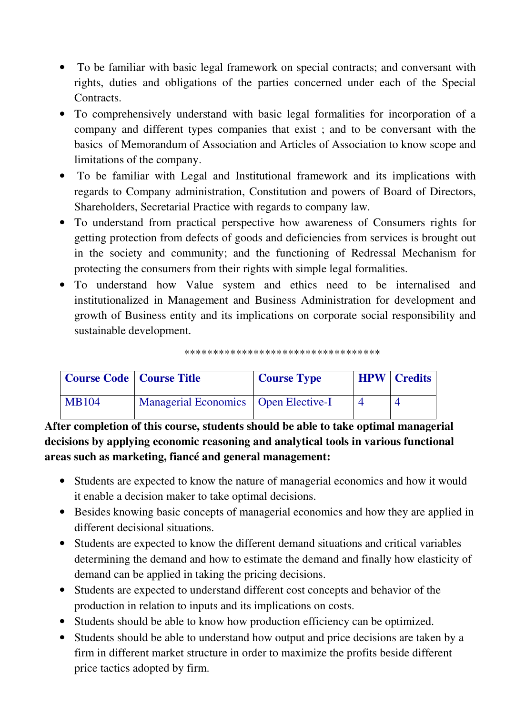- To be familiar with basic legal framework on special contracts; and conversant with rights, duties and obligations of the parties concerned under each of the Special Contracts.
- To comprehensively understand with basic legal formalities for incorporation of a company and different types companies that exist ; and to be conversant with the basics of Memorandum of Association and Articles of Association to know scope and limitations of the company.
- To be familiar with Legal and Institutional framework and its implications with regards to Company administration, Constitution and powers of Board of Directors, Shareholders, Secretarial Practice with regards to company law.
- To understand from practical perspective how awareness of Consumers rights for getting protection from defects of goods and deficiencies from services is brought out in the society and community; and the functioning of Redressal Mechanism for protecting the consumers from their rights with simple legal formalities.
- To understand how Value system and ethics need to be internalised and institutionalized in Management and Business Administration for development and growth of Business entity and its implications on corporate social responsibility and sustainable development.

\*\*\*\*\*\*\*\*\*\*\*\*\*\*\*\*\*\*\*\*\*\*\*\*\*\*\*\*\*\*\*\*\*\*

| <b>Course Code</b>   Course Title |                                        | <b>Course Type</b> | <b>HPW</b> Credits |
|-----------------------------------|----------------------------------------|--------------------|--------------------|
| <b>MB104</b>                      | Managerial Economics   Open Elective-I |                    |                    |

**After completion of this course, students should be able to take optimal managerial decisions by applying economic reasoning and analytical tools in various functional areas such as marketing, fiancé and general management:** 

- Students are expected to know the nature of managerial economics and how it would it enable a decision maker to take optimal decisions.
- Besides knowing basic concepts of managerial economics and how they are applied in different decisional situations.
- Students are expected to know the different demand situations and critical variables determining the demand and how to estimate the demand and finally how elasticity of demand can be applied in taking the pricing decisions.
- Students are expected to understand different cost concepts and behavior of the production in relation to inputs and its implications on costs.
- Students should be able to know how production efficiency can be optimized.
- Students should be able to understand how output and price decisions are taken by a firm in different market structure in order to maximize the profits beside different price tactics adopted by firm.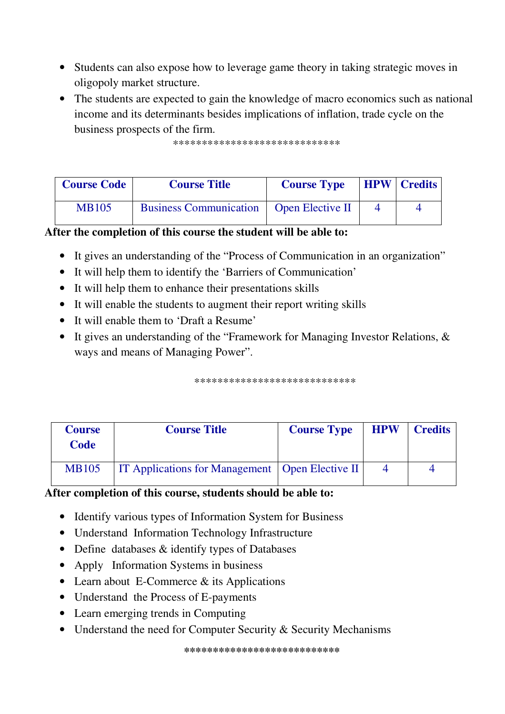- Students can also expose how to leverage game theory in taking strategic moves in oligopoly market structure.
- The students are expected to gain the knowledge of macro economics such as national income and its determinants besides implications of inflation, trade cycle on the business prospects of the firm.

\*\*\*\*\*\*\*\*\*\*\*\*\*\*\*\*\*\*\*\*\*\*\*\*\*\*\*\*\*

| <b>Course Code</b> | <b>Course Title</b>                              | <b>Course Type</b> | <b>HPW Credits</b> |
|--------------------|--------------------------------------------------|--------------------|--------------------|
| <b>MB105</b>       | <b>Business Communication</b>   Open Elective II |                    |                    |

### After the completion of this course the student will be able to:

- It gives an understanding of the "Process of Communication in an organization"
- It will help them to identify the 'Barriers of Communication'
- It will help them to enhance their presentations skills
- It will enable the students to augment their report writing skills
- It will enable them to 'Draft a Resume'
- It gives an understanding of the "Framework for Managing Investor Relations,  $\&$ ways and means of Managing Power".

\*\*\*\*\*\*\*\*\*\*\*\*\*\*\*\*\*\*\*\*\*\*\*\*\*\*\*\*

| <b>Course</b><br>Code | <b>Course Title</b>                                      | <b>Course Type</b> | <b>HPW</b> | <b>Credits</b> |
|-----------------------|----------------------------------------------------------|--------------------|------------|----------------|
| <b>MB105</b>          | <b>IT Applications for Management</b>   Open Elective II |                    |            |                |

### After completion of this course, students should be able to:

- Identify various types of Information System for Business
- Understand Information Technology Infrastructure
- Define databases & identify types of Databases
- Apply Information Systems in business
- Learn about E-Commerce  $&$  its Applications
- Understand the Process of E-payments
- Learn emerging trends in Computing
- Understand the need for Computer Security & Security Mechanisms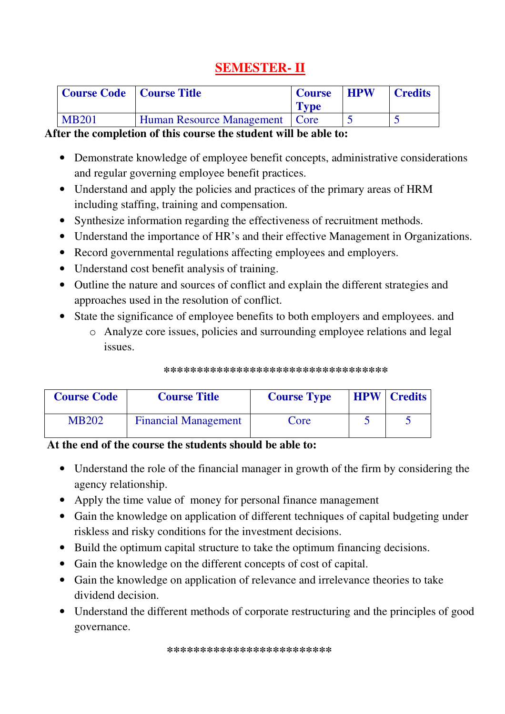# **SEMESTER- II**

| Course Code   Course Title |                                  | <b>Course</b><br>Type | <b>HPW</b> | <b>Credits</b> |
|----------------------------|----------------------------------|-----------------------|------------|----------------|
| <b>MB201</b>               | Human Resource Management   Core |                       |            |                |

### **After the completion of this course the student will be able to:**

- Demonstrate knowledge of employee benefit concepts, administrative considerations and regular governing employee benefit practices.
- Understand and apply the policies and practices of the primary areas of HRM including staffing, training and compensation.
- Synthesize information regarding the effectiveness of recruitment methods.
- Understand the importance of HR's and their effective Management in Organizations.
- Record governmental regulations affecting employees and employers.
- Understand cost benefit analysis of training.
- Outline the nature and sources of conflict and explain the different strategies and approaches used in the resolution of conflict.
- State the significance of employee benefits to both employers and employees. and
	- o Analyze core issues, policies and surrounding employee relations and legal issues.

| *********************************** |
|-------------------------------------|
|                                     |

| <b>Course Code</b> | <b>Course Title</b>         | <b>Course Type</b> | <b>HPW</b> Credits |
|--------------------|-----------------------------|--------------------|--------------------|
| <b>MB202</b>       | <b>Financial Management</b> | Core               |                    |

### **At the end of the course the students should be able to:**

- Understand the role of the financial manager in growth of the firm by considering the agency relationship.
- Apply the time value of money for personal finance management
- Gain the knowledge on application of different techniques of capital budgeting under riskless and risky conditions for the investment decisions.
- Build the optimum capital structure to take the optimum financing decisions.
- Gain the knowledge on the different concepts of cost of capital.
- Gain the knowledge on application of relevance and irrelevance theories to take dividend decision.
- Understand the different methods of corporate restructuring and the principles of good governance.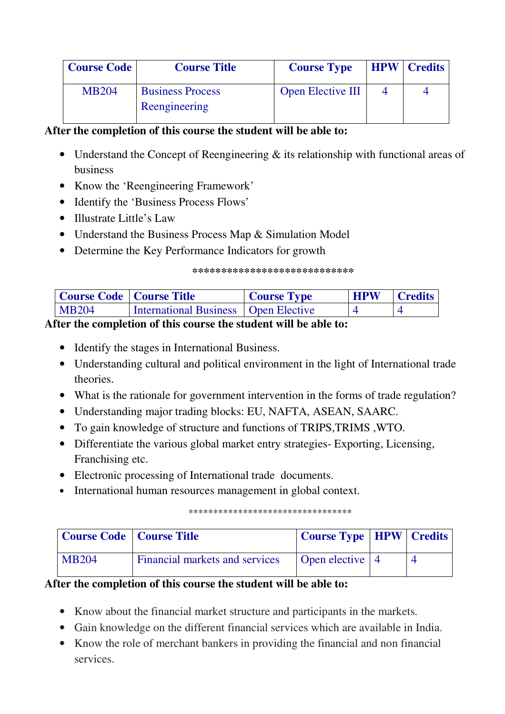| <b>Course Code</b> | <b>Course Title</b>     | <b>Course Type</b>       | <b>HPW</b> Credits |
|--------------------|-------------------------|--------------------------|--------------------|
| <b>MB204</b>       | <b>Business Process</b> | <b>Open Elective III</b> |                    |
|                    | Reengineering           |                          |                    |

# **After the completion of this course the student will be able to:**

- Understand the Concept of Reengineering & its relationship with functional areas of business
- Know the 'Reengineering Framework'
- Identify the 'Business Process Flows'
- Illustrate Little's Law
- Understand the Business Process Map & Simulation Model
- Determine the Key Performance Indicators for growth

#### **\*\*\*\*\*\*\*\*\*\*\*\*\*\*\*\*\*\*\*\*\*\*\*\*\*\*\*\***

| Course Code   Course Title |                                               | <b>Course Type</b> | <b>HPW</b> | <b>Credits</b> |
|----------------------------|-----------------------------------------------|--------------------|------------|----------------|
| MB204                      | <b>International Business   Open Elective</b> |                    |            |                |

### **After the completion of this course the student will be able to:**

- Identify the stages in International Business.
- Understanding cultural and political environment in the light of International trade theories.
- What is the rationale for government intervention in the forms of trade regulation?
- Understanding major trading blocks: EU, NAFTA, ASEAN, SAARC.
- To gain knowledge of structure and functions of TRIPS,TRIMS ,WTO.
- Differentiate the various global market entry strategies- Exporting, Licensing, Franchising etc.
- Electronic processing of International trade documents.
- International human resources management in global context.

#### \*\*\*\*\*\*\*\*\*\*\*\*\*\*\*\*\*\*\*\*\*\*\*\*\*\*\*\*\*\*\*\*\*

| <b>Course Code</b>   Course Title |                                | Course Type   HPW   Credits |  |
|-----------------------------------|--------------------------------|-----------------------------|--|
| <b>MB204</b>                      | Financial markets and services | Open elective   4           |  |

### **After the completion of this course the student will be able to:**

- Know about the financial market structure and participants in the markets.
- Gain knowledge on the different financial services which are available in India.
- Know the role of merchant bankers in providing the financial and non financial services.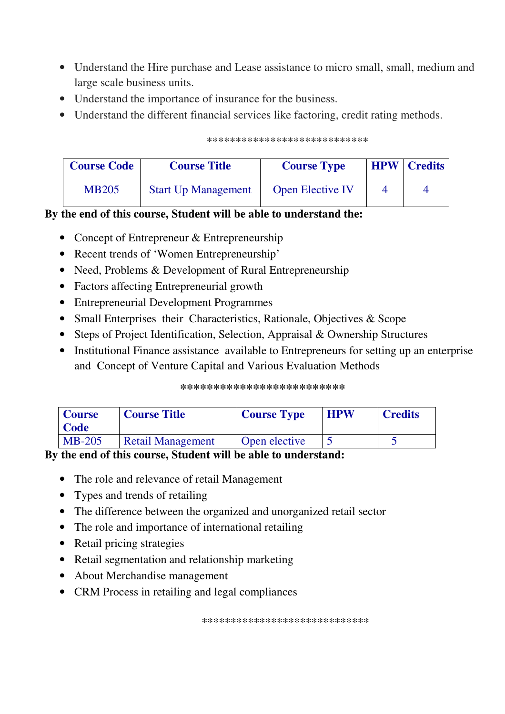- Understand the Hire purchase and Lease assistance to micro small, small, medium and large scale business units.
- Understand the importance of insurance for the business.
- Understand the different financial services like factoring, credit rating methods.

| <b>Course Code</b> | <b>Course Title</b>        | <b>Course Type</b>      | <b>HPW</b> | <b>Credits</b> |
|--------------------|----------------------------|-------------------------|------------|----------------|
| <b>MB205</b>       | <b>Start Up Management</b> | <b>Open Elective IV</b> |            |                |

#### \*\*\*\*\*\*\*\*\*\*\*\*\*\*\*\*\*\*\*\*\*\*\*\*\*\*\*\*

### By the end of this course, Student will be able to understand the:

- Concept of Entrepreneur  $&$  Entrepreneurship
- Recent trends of 'Women Entrepreneurship'
- Need, Problems & Development of Rural Entrepreneurship
- Factors affecting Entrepreneurial growth
- Entrepreneurial Development Programmes
- Small Enterprises their Characteristics, Rationale, Objectives  $\&$  Scope
- Steps of Project Identification, Selection, Appraisal & Ownership Structures
- Institutional Finance assistance available to Entrepreneurs for setting up an enterprise and Concept of Venture Capital and Various Evaluation Methods

#### \*\*\*\*\*\*\*\*\*\*\*\*\*\*\*\*\*\*\*\*\*\*\*\*\*

| <b>Course</b><br>Code | <b>Course Title</b>      | <b>Course Type</b> | <b>HPW</b> | <b>Credits</b> |
|-----------------------|--------------------------|--------------------|------------|----------------|
| $MB-205$              | <b>Retail Management</b> | Open elective      |            |                |

### By the end of this course, Student will be able to understand:

- The role and relevance of retail Management
- Types and trends of retailing
- The difference between the organized and unorganized retail sector
- The role and importance of international retailing
- Retail pricing strategies
- Retail segmentation and relationship marketing
- About Merchandise management
- CRM Process in retailing and legal compliances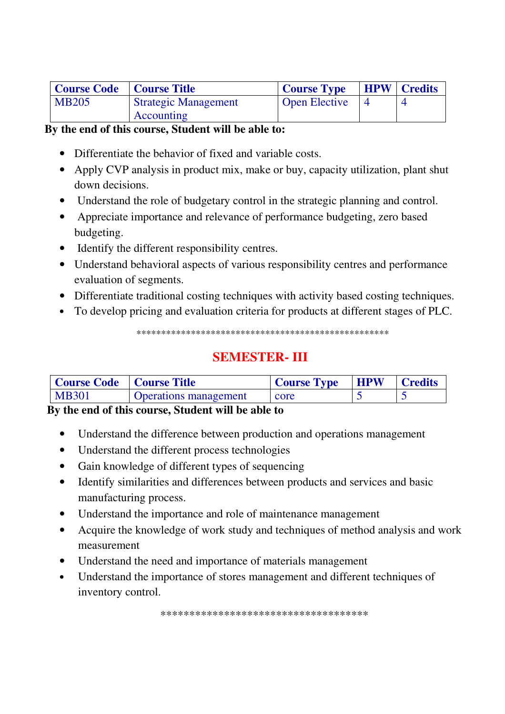| Course Code   Course Title |                             | <b>Course Type</b>   | <b>HPW</b> Credits |
|----------------------------|-----------------------------|----------------------|--------------------|
| MB205                      | <b>Strategic Management</b> | <b>Open Elective</b> |                    |
|                            | Accounting                  |                      |                    |

### By the end of this course, Student will be able to:

- Differentiate the behavior of fixed and variable costs.
- Apply CVP analysis in product mix, make or buy, capacity utilization, plant shut down decisions.
- Understand the role of budgetary control in the strategic planning and control.
- Appreciate importance and relevance of performance budgeting, zero based budgeting.
- Identify the different responsibility centres.
- Understand behavioral aspects of various responsibility centres and performance evaluation of segments.
- Differentiate traditional costing techniques with activity based costing techniques.
- To develop pricing and evaluation criteria for products at different stages of PLC.

# **SEMESTER-III**

| Course Code   Course Title |                              | <b>Course Type</b> | <b>HPW</b> | <b>Credits</b> |
|----------------------------|------------------------------|--------------------|------------|----------------|
| M B301                     | <b>Operations management</b> | core               |            |                |

### By the end of this course, Student will be able to

- Understand the difference between production and operations management  $\bullet$
- Understand the different process technologies  $\bullet$
- Gain knowledge of different types of sequencing  $\bullet$
- Identify similarities and differences between products and services and basic  $\bullet$ manufacturing process.
- Understand the importance and role of maintenance management  $\bullet$
- Acquire the knowledge of work study and techniques of method analysis and work  $\bullet$ measurement
- Understand the need and importance of materials management  $\bullet$
- Understand the importance of stores management and different techniques of  $\bullet$ inventory control.

\*\*\*\*\*\*\*\*\*\*\*\*\*\*\*\*\*\*\*\*\*\*\*\*\*\*\*\*\*\*\*\*\*\*\*\*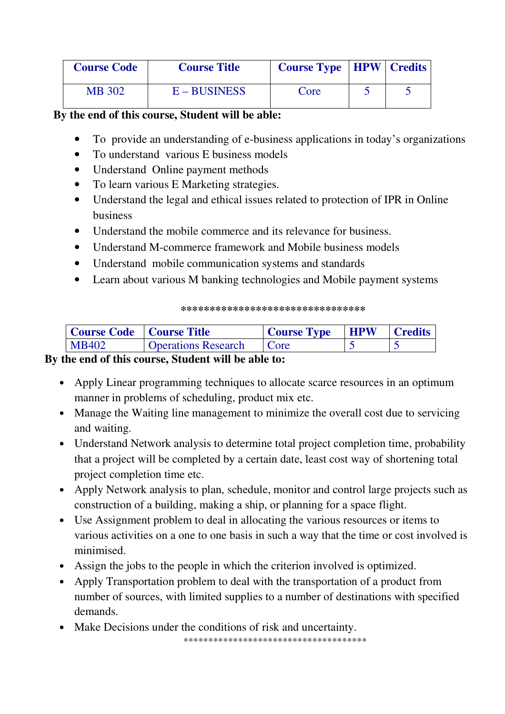| <b>Course Code</b> | <b>Course Title</b> | <b>Course Type   HPW   Credits</b> |  |
|--------------------|---------------------|------------------------------------|--|
| <b>MB</b> 302      | $E - BUSINESS$      | Core                               |  |

### **By the end of this course, Student will be able:**

- To provide an understanding of e-business applications in today's organizations
- To understand various E business models
- Understand Online payment methods
- To learn various E Marketing strategies.
- Understand the legal and ethical issues related to protection of IPR in Online business
- Understand the mobile commerce and its relevance for business.
- Understand M-commerce framework and Mobile business models
- Understand mobile communication systems and standards
- Learn about various M banking technologies and Mobile payment systems

#### **\*\*\*\*\*\*\*\*\*\*\*\*\*\*\*\*\*\*\*\*\*\*\*\*\*\*\*\*\*\*\*\***

| Course Code   Course Title |                            | <b>Course Type</b> | <b>HPW</b> | <b>Credits</b> |
|----------------------------|----------------------------|--------------------|------------|----------------|
| MB402                      | <b>Operations Research</b> | Core               |            |                |

### **By the end of this course, Student will be able to:**

- Apply Linear programming techniques to allocate scarce resources in an optimum manner in problems of scheduling, product mix etc.
- Manage the Waiting line management to minimize the overall cost due to servicing and waiting.
- Understand Network analysis to determine total project completion time, probability that a project will be completed by a certain date, least cost way of shortening total project completion time etc.
- Apply Network analysis to plan, schedule, monitor and control large projects such as construction of a building, making a ship, or planning for a space flight.
- Use Assignment problem to deal in allocating the various resources or items to various activities on a one to one basis in such a way that the time or cost involved is minimised.
- Assign the jobs to the people in which the criterion involved is optimized.
- Apply Transportation problem to deal with the transportation of a product from number of sources, with limited supplies to a number of destinations with specified demands.
- Make Decisions under the conditions of risk and uncertainty.

\*\*\*\*\*\*\*\*\*\*\*\*\*\*\*\*\*\*\*\*\*\*\*\*\*\*\*\*\*\*\*\*\*\*\*\*\*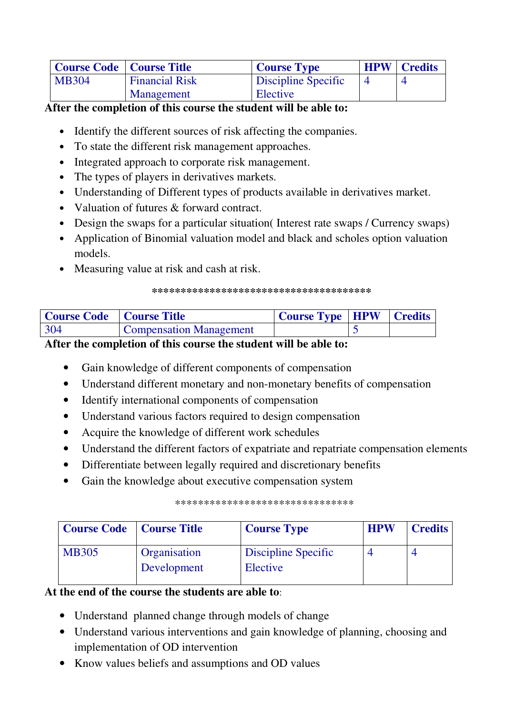| <b>Course Code</b>   Course Title |                       | <b>Course Type</b>  | <b>HPW</b> | <b>Credits</b> |
|-----------------------------------|-----------------------|---------------------|------------|----------------|
| <b>MB304</b>                      | <b>Financial Risk</b> | Discipline Specific |            |                |
|                                   | Management            | Elective            |            |                |

**After the completion of this course the student will be able to:**

- Identify the different sources of risk affecting the companies.
- To state the different risk management approaches.
- Integrated approach to corporate risk management.
- The types of players in derivatives markets.
- Understanding of Different types of products available in derivatives market.
- Valuation of futures & forward contract.
- Design the swaps for a particular situation (Interest rate swaps / Currency swaps)
- Application of Binomial valuation model and black and scholes option valuation models.
- Measuring value at risk and cash at risk.

#### **\*\*\*\*\*\*\*\*\*\*\*\*\*\*\*\*\*\*\*\*\*\*\*\*\*\*\*\*\*\*\*\*\*\*\*\*\*\***

| Course Code   Course Title |                                | Course Type   HPW   Credits |  |
|----------------------------|--------------------------------|-----------------------------|--|
| 304                        | <b>Compensation Management</b> |                             |  |

### **After the completion of this course the student will be able to:**

- Gain knowledge of different components of compensation
- Understand different monetary and non-monetary benefits of compensation
- Identify international components of compensation
- Understand various factors required to design compensation
- Acquire the knowledge of different work schedules
- Understand the different factors of expatriate and repatriate compensation elements
- Differentiate between legally required and discretionary benefits
- Gain the knowledge about executive compensation system

#### \*\*\*\*\*\*\*\*\*\*\*\*\*\*\*\*\*\*\*\*\*\*\*\*\*\*\*\*\*\*\*

| <b>Course Code</b>   Course Title |              | <b>Course Type</b>  | <b>HPW</b> | <b>Credits</b> |
|-----------------------------------|--------------|---------------------|------------|----------------|
| <b>MB305</b>                      | Organisation | Discipline Specific |            |                |
|                                   | Development  | Elective            |            |                |

### **At the end of the course the students are able to**:

- Understand planned change through models of change
- Understand various interventions and gain knowledge of planning, choosing and implementation of OD intervention
- Know values beliefs and assumptions and OD values